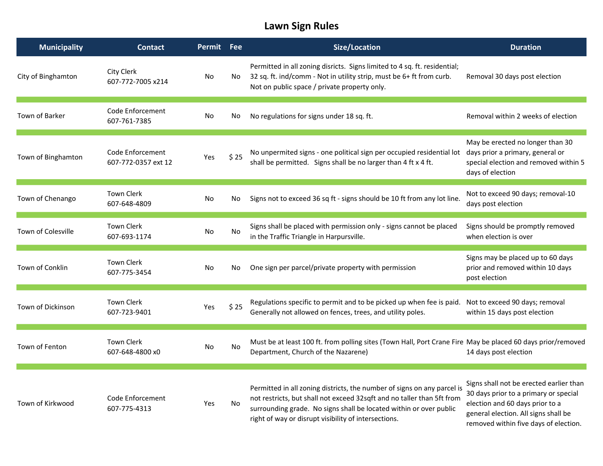## Lawn Sign Rules

| <b>Municipality</b> | <b>Contact</b>                          | Permit Fee |           | <b>Size/Location</b>                                                                                                                                                                                                                                                            | <b>Duration</b>                                                                                                                                                                                      |
|---------------------|-----------------------------------------|------------|-----------|---------------------------------------------------------------------------------------------------------------------------------------------------------------------------------------------------------------------------------------------------------------------------------|------------------------------------------------------------------------------------------------------------------------------------------------------------------------------------------------------|
| City of Binghamton  | City Clerk<br>607-772-7005 x214         | No         | No        | Permitted in all zoning disricts. Signs limited to 4 sq. ft. residential;<br>32 sq. ft. ind/comm - Not in utility strip, must be 6+ ft from curb.<br>Not on public space / private property only.                                                                               | Removal 30 days post election                                                                                                                                                                        |
| Town of Barker      | Code Enforcement<br>607-761-7385        | No         | No        | No regulations for signs under 18 sq. ft.                                                                                                                                                                                                                                       | Removal within 2 weeks of election                                                                                                                                                                   |
| Town of Binghamton  | Code Enforcement<br>607-772-0357 ext 12 | Yes        | \$25      | No unpermited signs - one political sign per occupied residential lot<br>shall be permitted. Signs shall be no larger than 4 ft x 4 ft.                                                                                                                                         | May be erected no longer than 30<br>days prior a primary, general or<br>special election and removed within 5<br>days of election                                                                    |
| Town of Chenango    | <b>Town Clerk</b><br>607-648-4809       | No         | No        | Signs not to exceed 36 sq ft - signs should be 10 ft from any lot line.                                                                                                                                                                                                         | Not to exceed 90 days; removal-10<br>days post election                                                                                                                                              |
| Town of Colesville  | <b>Town Clerk</b><br>607-693-1174       | No         | <b>No</b> | Signs shall be placed with permission only - signs cannot be placed<br>in the Traffic Triangle in Harpursville.                                                                                                                                                                 | Signs should be promptly removed<br>when election is over                                                                                                                                            |
| Town of Conklin     | <b>Town Clerk</b><br>607-775-3454       | No         | No        | One sign per parcel/private property with permission                                                                                                                                                                                                                            | Signs may be placed up to 60 days<br>prior and removed within 10 days<br>post election                                                                                                               |
| Town of Dickinson   | <b>Town Clerk</b><br>607-723-9401       | Yes        | \$25      | Regulations specific to permit and to be picked up when fee is paid.<br>Generally not allowed on fences, trees, and utility poles.                                                                                                                                              | Not to exceed 90 days; removal<br>within 15 days post election                                                                                                                                       |
| Town of Fenton      | <b>Town Clerk</b><br>607-648-4800 x0    | No         | No        | Must be at least 100 ft. from polling sites (Town Hall, Port Crane Fire May be placed 60 days prior/removed<br>Department, Church of the Nazarene)                                                                                                                              | 14 days post election                                                                                                                                                                                |
| Town of Kirkwood    | Code Enforcement<br>607-775-4313        | Yes        | No        | Permitted in all zoning districts, the number of signs on any parcel is<br>not restricts, but shall not exceed 32sqft and no taller than 5ft from<br>surrounding grade. No signs shall be located within or over public<br>right of way or disrupt visibility of intersections. | Signs shall not be erected earlier than<br>30 days prior to a primary or special<br>election and 60 days prior to a<br>general election. All signs shall be<br>removed within five days of election. |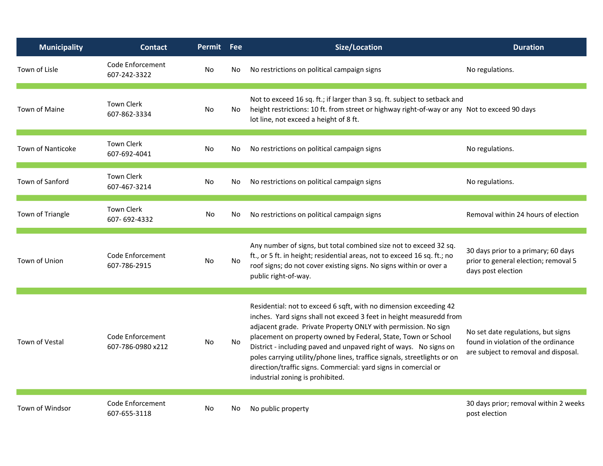| <b>Municipality</b>    | <b>Contact</b>                        | Permit Fee |     | <b>Size/Location</b>                                                                                                                                                                                                                                                                                                                                                                                                                                                                                                                | <b>Duration</b>                                                                                                   |
|------------------------|---------------------------------------|------------|-----|-------------------------------------------------------------------------------------------------------------------------------------------------------------------------------------------------------------------------------------------------------------------------------------------------------------------------------------------------------------------------------------------------------------------------------------------------------------------------------------------------------------------------------------|-------------------------------------------------------------------------------------------------------------------|
| Town of Lisle          | Code Enforcement<br>607-242-3322      | No         | No. | No restrictions on political campaign signs                                                                                                                                                                                                                                                                                                                                                                                                                                                                                         | No regulations.                                                                                                   |
| Town of Maine          | <b>Town Clerk</b><br>607-862-3334     | No.        | No. | Not to exceed 16 sq. ft.; if larger than 3 sq. ft. subject to setback and<br>height restrictions: 10 ft. from street or highway right-of-way or any Not to exceed 90 days<br>lot line, not exceed a height of 8 ft.                                                                                                                                                                                                                                                                                                                 |                                                                                                                   |
| Town of Nanticoke      | <b>Town Clerk</b><br>607-692-4041     | No         | No  | No restrictions on political campaign signs                                                                                                                                                                                                                                                                                                                                                                                                                                                                                         | No regulations.                                                                                                   |
| <b>Town of Sanford</b> | <b>Town Clerk</b><br>607-467-3214     | No         | No. | No restrictions on political campaign signs                                                                                                                                                                                                                                                                                                                                                                                                                                                                                         | No regulations.                                                                                                   |
| Town of Triangle       | <b>Town Clerk</b><br>607-692-4332     | No         | No  | No restrictions on political campaign signs                                                                                                                                                                                                                                                                                                                                                                                                                                                                                         | Removal within 24 hours of election                                                                               |
| Town of Union          | Code Enforcement<br>607-786-2915      | No         | No. | Any number of signs, but total combined size not to exceed 32 sq.<br>ft., or 5 ft. in height; residential areas, not to exceed 16 sq. ft.; no<br>roof signs; do not cover existing signs. No signs within or over a<br>public right-of-way.                                                                                                                                                                                                                                                                                         | 30 days prior to a primary; 60 days<br>prior to general election; removal 5<br>days post election                 |
| Town of Vestal         | Code Enforcement<br>607-786-0980 x212 | No         | No. | Residential: not to exceed 6 sqft, with no dimension exceeding 42<br>inches. Yard signs shall not exceed 3 feet in height measuredd from<br>adjacent grade. Private Property ONLY with permission. No sign<br>placement on property owned by Federal, State, Town or School<br>District - including paved and unpaved right of ways. No signs on<br>poles carrying utility/phone lines, traffice signals, streetlights or on<br>direction/traffic signs. Commercial: yard signs in comercial or<br>industrial zoning is prohibited. | No set date regulations, but signs<br>found in violation of the ordinance<br>are subject to removal and disposal. |
| Town of Windsor        | Code Enforcement<br>607-655-3118      | No         | No. | No public property                                                                                                                                                                                                                                                                                                                                                                                                                                                                                                                  | 30 days prior; removal within 2 weeks<br>post election                                                            |